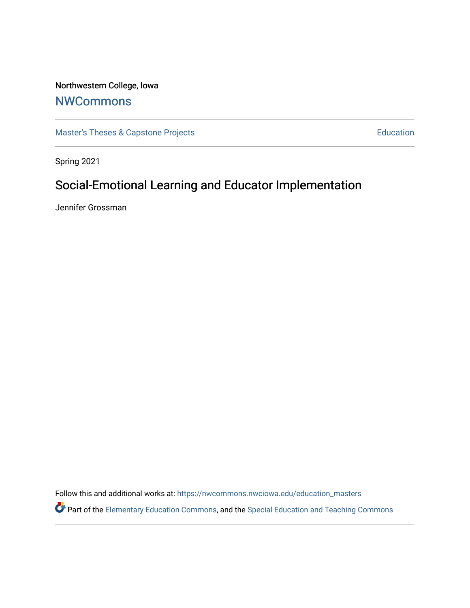# Northwestern College, Iowa

# [NWCommons](https://nwcommons.nwciowa.edu/)

[Master's Theses & Capstone Projects](https://nwcommons.nwciowa.edu/education_masters) **Education** Education

Spring 2021

# Social-Emotional Learning and Educator Implementation

Jennifer Grossman

Follow this and additional works at: [https://nwcommons.nwciowa.edu/education\\_masters](https://nwcommons.nwciowa.edu/education_masters?utm_source=nwcommons.nwciowa.edu%2Feducation_masters%2F1&utm_medium=PDF&utm_campaign=PDFCoverPages)

Part of the [Elementary Education Commons,](http://network.bepress.com/hgg/discipline/1378?utm_source=nwcommons.nwciowa.edu%2Feducation_masters%2F1&utm_medium=PDF&utm_campaign=PDFCoverPages) and the [Special Education and Teaching Commons](http://network.bepress.com/hgg/discipline/801?utm_source=nwcommons.nwciowa.edu%2Feducation_masters%2F1&utm_medium=PDF&utm_campaign=PDFCoverPages)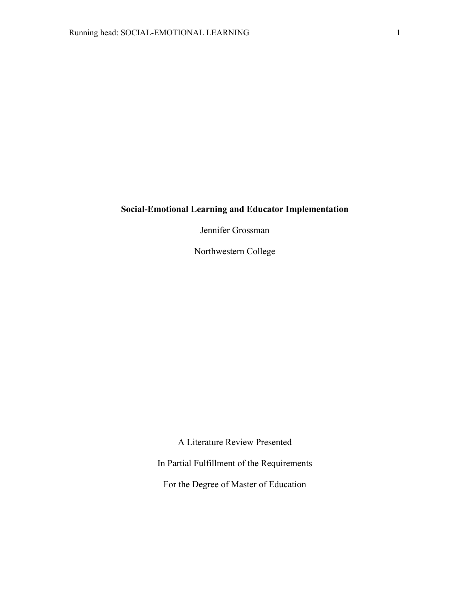# **Social-Emotional Learning and Educator Implementation**

Jennifer Grossman

Northwestern College

A Literature Review Presented

In Partial Fulfillment of the Requirements

For the Degree of Master of Education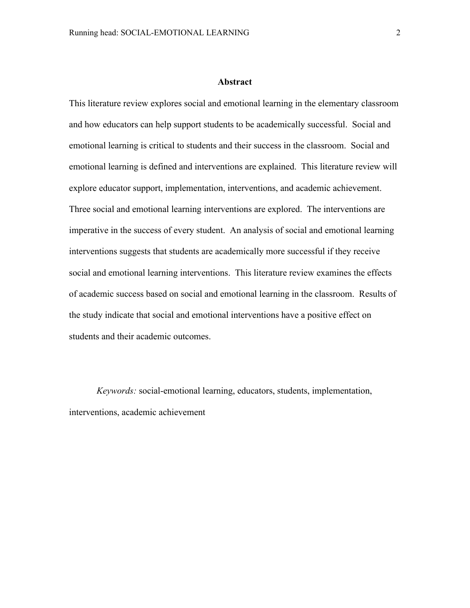#### **Abstract**

This literature review explores social and emotional learning in the elementary classroom and how educators can help support students to be academically successful. Social and emotional learning is critical to students and their success in the classroom. Social and emotional learning is defined and interventions are explained. This literature review will explore educator support, implementation, interventions, and academic achievement. Three social and emotional learning interventions are explored. The interventions are imperative in the success of every student. An analysis of social and emotional learning interventions suggests that students are academically more successful if they receive social and emotional learning interventions. This literature review examines the effects of academic success based on social and emotional learning in the classroom. Results of the study indicate that social and emotional interventions have a positive effect on students and their academic outcomes.

*Keywords:* social-emotional learning, educators, students, implementation, interventions, academic achievement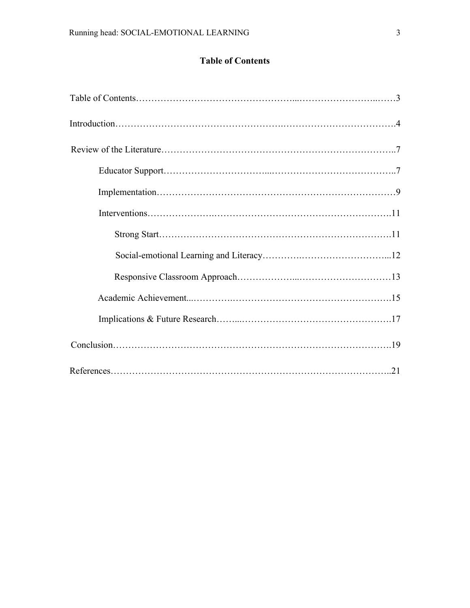# **Table of Contents**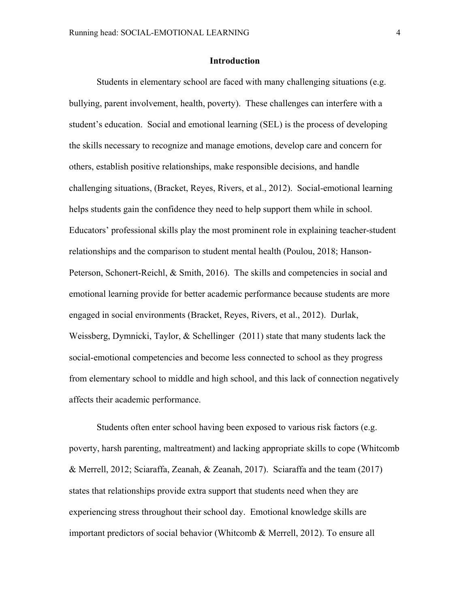### **Introduction**

Students in elementary school are faced with many challenging situations (e.g. bullying, parent involvement, health, poverty). These challenges can interfere with a student's education. Social and emotional learning (SEL) is the process of developing the skills necessary to recognize and manage emotions, develop care and concern for others, establish positive relationships, make responsible decisions, and handle challenging situations, (Bracket, Reyes, Rivers, et al., 2012). Social-emotional learning helps students gain the confidence they need to help support them while in school. Educators' professional skills play the most prominent role in explaining teacher-student relationships and the comparison to student mental health (Poulou, 2018; Hanson-Peterson, Schonert-Reichl, & Smith, 2016). The skills and competencies in social and emotional learning provide for better academic performance because students are more engaged in social environments (Bracket, Reyes, Rivers, et al., 2012). Durlak, Weissberg, Dymnicki, Taylor, & Schellinger (2011) state that many students lack the social-emotional competencies and become less connected to school as they progress from elementary school to middle and high school, and this lack of connection negatively affects their academic performance.

Students often enter school having been exposed to various risk factors (e.g. poverty, harsh parenting, maltreatment) and lacking appropriate skills to cope (Whitcomb & Merrell, 2012; Sciaraffa, Zeanah, & Zeanah, 2017). Sciaraffa and the team (2017) states that relationships provide extra support that students need when they are experiencing stress throughout their school day. Emotional knowledge skills are important predictors of social behavior (Whitcomb & Merrell, 2012). To ensure all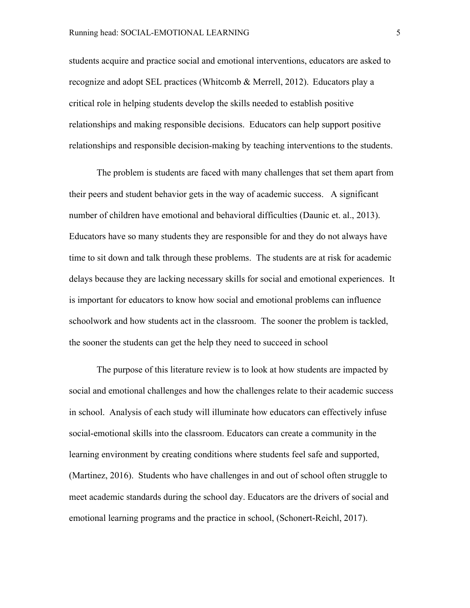students acquire and practice social and emotional interventions, educators are asked to recognize and adopt SEL practices (Whitcomb & Merrell, 2012). Educators play a critical role in helping students develop the skills needed to establish positive relationships and making responsible decisions. Educators can help support positive relationships and responsible decision-making by teaching interventions to the students.

The problem is students are faced with many challenges that set them apart from their peers and student behavior gets in the way of academic success. A significant number of children have emotional and behavioral difficulties (Daunic et. al., 2013). Educators have so many students they are responsible for and they do not always have time to sit down and talk through these problems. The students are at risk for academic delays because they are lacking necessary skills for social and emotional experiences. It is important for educators to know how social and emotional problems can influence schoolwork and how students act in the classroom. The sooner the problem is tackled, the sooner the students can get the help they need to succeed in school

The purpose of this literature review is to look at how students are impacted by social and emotional challenges and how the challenges relate to their academic success in school. Analysis of each study will illuminate how educators can effectively infuse social-emotional skills into the classroom. Educators can create a community in the learning environment by creating conditions where students feel safe and supported, (Martinez, 2016). Students who have challenges in and out of school often struggle to meet academic standards during the school day. Educators are the drivers of social and emotional learning programs and the practice in school, (Schonert-Reichl, 2017).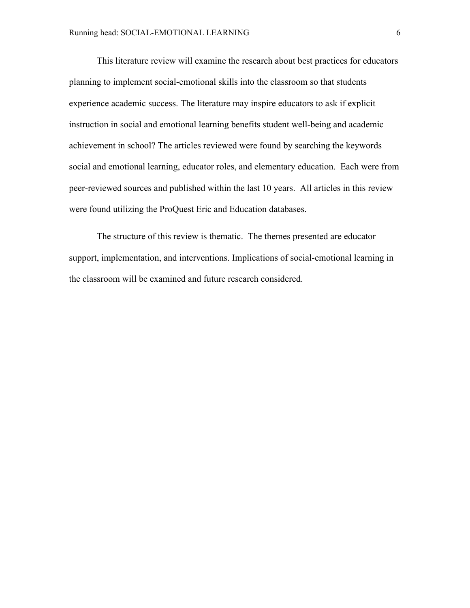This literature review will examine the research about best practices for educators planning to implement social-emotional skills into the classroom so that students experience academic success. The literature may inspire educators to ask if explicit instruction in social and emotional learning benefits student well-being and academic achievement in school? The articles reviewed were found by searching the keywords social and emotional learning, educator roles, and elementary education. Each were from peer-reviewed sources and published within the last 10 years. All articles in this review were found utilizing the ProQuest Eric and Education databases.

The structure of this review is thematic. The themes presented are educator support, implementation, and interventions. Implications of social-emotional learning in the classroom will be examined and future research considered.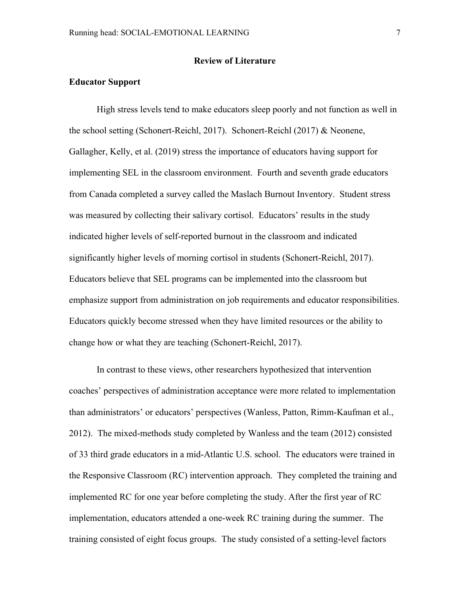# **Review of Literature**

# **Educator Support**

High stress levels tend to make educators sleep poorly and not function as well in the school setting (Schonert-Reichl, 2017). Schonert-Reichl (2017) & Neonene, Gallagher, Kelly, et al. (2019) stress the importance of educators having support for implementing SEL in the classroom environment. Fourth and seventh grade educators from Canada completed a survey called the Maslach Burnout Inventory. Student stress was measured by collecting their salivary cortisol. Educators' results in the study indicated higher levels of self-reported burnout in the classroom and indicated significantly higher levels of morning cortisol in students (Schonert-Reichl, 2017). Educators believe that SEL programs can be implemented into the classroom but emphasize support from administration on job requirements and educator responsibilities. Educators quickly become stressed when they have limited resources or the ability to change how or what they are teaching (Schonert-Reichl, 2017).

In contrast to these views, other researchers hypothesized that intervention coaches' perspectives of administration acceptance were more related to implementation than administrators' or educators' perspectives (Wanless, Patton, Rimm-Kaufman et al., 2012). The mixed-methods study completed by Wanless and the team (2012) consisted of 33 third grade educators in a mid-Atlantic U.S. school. The educators were trained in the Responsive Classroom (RC) intervention approach. They completed the training and implemented RC for one year before completing the study. After the first year of RC implementation, educators attended a one-week RC training during the summer. The training consisted of eight focus groups. The study consisted of a setting-level factors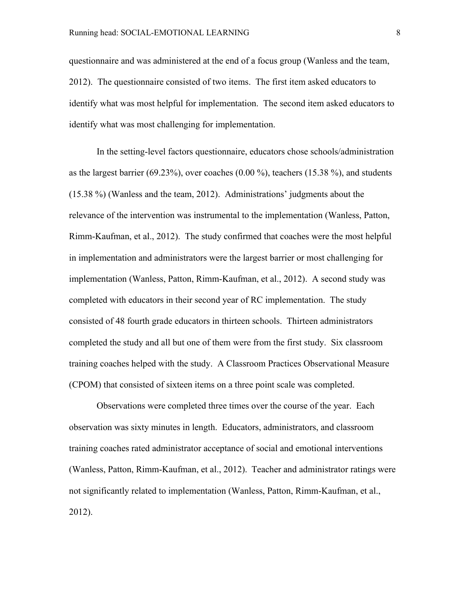questionnaire and was administered at the end of a focus group (Wanless and the team, 2012). The questionnaire consisted of two items. The first item asked educators to identify what was most helpful for implementation. The second item asked educators to identify what was most challenging for implementation.

In the setting-level factors questionnaire, educators chose schools/administration as the largest barrier (69.23%), over coaches (0.00 %), teachers (15.38 %), and students (15.38 %) (Wanless and the team, 2012). Administrations' judgments about the relevance of the intervention was instrumental to the implementation (Wanless, Patton, Rimm-Kaufman, et al., 2012). The study confirmed that coaches were the most helpful in implementation and administrators were the largest barrier or most challenging for implementation (Wanless, Patton, Rimm-Kaufman, et al., 2012). A second study was completed with educators in their second year of RC implementation. The study consisted of 48 fourth grade educators in thirteen schools. Thirteen administrators completed the study and all but one of them were from the first study. Six classroom training coaches helped with the study. A Classroom Practices Observational Measure (CPOM) that consisted of sixteen items on a three point scale was completed.

Observations were completed three times over the course of the year. Each observation was sixty minutes in length. Educators, administrators, and classroom training coaches rated administrator acceptance of social and emotional interventions (Wanless, Patton, Rimm-Kaufman, et al., 2012). Teacher and administrator ratings were not significantly related to implementation (Wanless, Patton, Rimm-Kaufman, et al., 2012).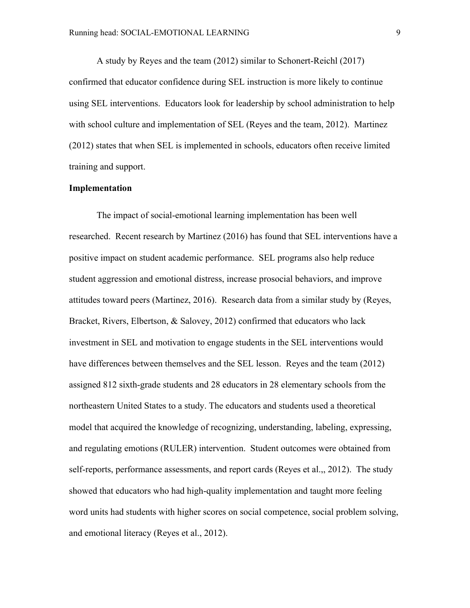A study by Reyes and the team (2012) similar to Schonert-Reichl (2017) confirmed that educator confidence during SEL instruction is more likely to continue using SEL interventions. Educators look for leadership by school administration to help with school culture and implementation of SEL (Reyes and the team, 2012). Martinez (2012) states that when SEL is implemented in schools, educators often receive limited training and support.

# **Implementation**

The impact of social-emotional learning implementation has been well researched. Recent research by Martinez (2016) has found that SEL interventions have a positive impact on student academic performance. SEL programs also help reduce student aggression and emotional distress, increase prosocial behaviors, and improve attitudes toward peers (Martinez, 2016). Research data from a similar study by (Reyes, Bracket, Rivers, Elbertson, & Salovey, 2012) confirmed that educators who lack investment in SEL and motivation to engage students in the SEL interventions would have differences between themselves and the SEL lesson. Reyes and the team (2012) assigned 812 sixth-grade students and 28 educators in 28 elementary schools from the northeastern United States to a study. The educators and students used a theoretical model that acquired the knowledge of recognizing, understanding, labeling, expressing, and regulating emotions (RULER) intervention. Student outcomes were obtained from self-reports, performance assessments, and report cards (Reyes et al.,, 2012). The study showed that educators who had high-quality implementation and taught more feeling word units had students with higher scores on social competence, social problem solving, and emotional literacy (Reyes et al., 2012).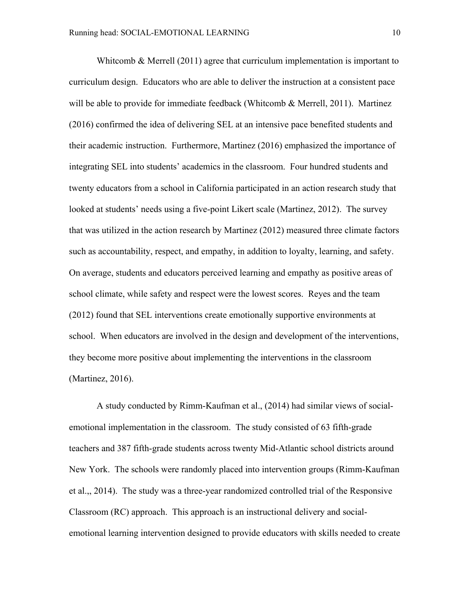Whitcomb  $\&$  Merrell (2011) agree that curriculum implementation is important to curriculum design. Educators who are able to deliver the instruction at a consistent pace will be able to provide for immediate feedback (Whitcomb  $\&$  Merrell, 2011). Martinez (2016) confirmed the idea of delivering SEL at an intensive pace benefited students and their academic instruction. Furthermore, Martinez (2016) emphasized the importance of integrating SEL into students' academics in the classroom. Four hundred students and twenty educators from a school in California participated in an action research study that looked at students' needs using a five-point Likert scale (Martinez, 2012). The survey that was utilized in the action research by Martinez (2012) measured three climate factors such as accountability, respect, and empathy, in addition to loyalty, learning, and safety. On average, students and educators perceived learning and empathy as positive areas of school climate, while safety and respect were the lowest scores. Reyes and the team (2012) found that SEL interventions create emotionally supportive environments at school. When educators are involved in the design and development of the interventions, they become more positive about implementing the interventions in the classroom (Martinez, 2016).

A study conducted by Rimm-Kaufman et al., (2014) had similar views of socialemotional implementation in the classroom. The study consisted of 63 fifth-grade teachers and 387 fifth-grade students across twenty Mid-Atlantic school districts around New York. The schools were randomly placed into intervention groups (Rimm-Kaufman et al.,, 2014). The study was a three-year randomized controlled trial of the Responsive Classroom (RC) approach. This approach is an instructional delivery and socialemotional learning intervention designed to provide educators with skills needed to create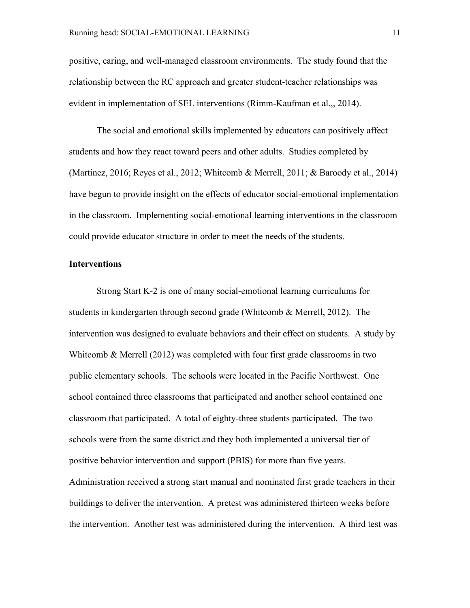positive, caring, and well-managed classroom environments. The study found that the relationship between the RC approach and greater student-teacher relationships was evident in implementation of SEL interventions (Rimm-Kaufman et al.,, 2014).

The social and emotional skills implemented by educators can positively affect students and how they react toward peers and other adults. Studies completed by (Martinez, 2016; Reyes et al., 2012; Whitcomb & Merrell, 2011; & Baroody et al., 2014) have begun to provide insight on the effects of educator social-emotional implementation in the classroom. Implementing social-emotional learning interventions in the classroom could provide educator structure in order to meet the needs of the students.

## **Interventions**

Strong Start K-2 is one of many social-emotional learning curriculums for students in kindergarten through second grade (Whitcomb & Merrell, 2012). The intervention was designed to evaluate behaviors and their effect on students. A study by Whitcomb & Merrell (2012) was completed with four first grade classrooms in two public elementary schools. The schools were located in the Pacific Northwest. One school contained three classrooms that participated and another school contained one classroom that participated. A total of eighty-three students participated. The two schools were from the same district and they both implemented a universal tier of positive behavior intervention and support (PBIS) for more than five years.

Administration received a strong start manual and nominated first grade teachers in their buildings to deliver the intervention. A pretest was administered thirteen weeks before the intervention. Another test was administered during the intervention. A third test was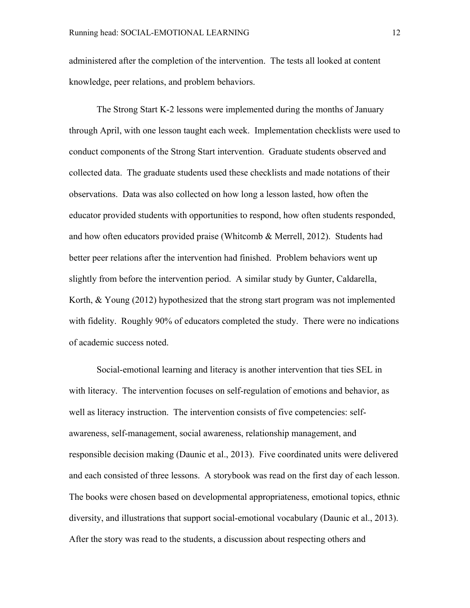administered after the completion of the intervention. The tests all looked at content knowledge, peer relations, and problem behaviors.

The Strong Start K-2 lessons were implemented during the months of January through April, with one lesson taught each week. Implementation checklists were used to conduct components of the Strong Start intervention. Graduate students observed and collected data. The graduate students used these checklists and made notations of their observations. Data was also collected on how long a lesson lasted, how often the educator provided students with opportunities to respond, how often students responded, and how often educators provided praise (Whitcomb & Merrell, 2012). Students had better peer relations after the intervention had finished. Problem behaviors went up slightly from before the intervention period. A similar study by Gunter, Caldarella, Korth, & Young (2012) hypothesized that the strong start program was not implemented with fidelity. Roughly 90% of educators completed the study. There were no indications of academic success noted.

Social-emotional learning and literacy is another intervention that ties SEL in with literacy. The intervention focuses on self-regulation of emotions and behavior, as well as literacy instruction. The intervention consists of five competencies: selfawareness, self-management, social awareness, relationship management, and responsible decision making (Daunic et al., 2013). Five coordinated units were delivered and each consisted of three lessons. A storybook was read on the first day of each lesson. The books were chosen based on developmental appropriateness, emotional topics, ethnic diversity, and illustrations that support social-emotional vocabulary (Daunic et al., 2013). After the story was read to the students, a discussion about respecting others and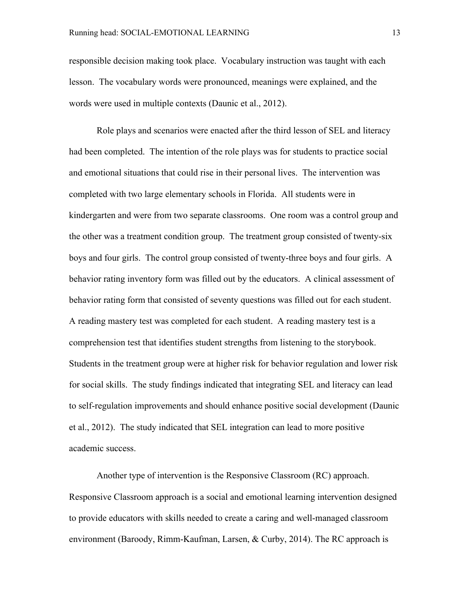responsible decision making took place. Vocabulary instruction was taught with each lesson. The vocabulary words were pronounced, meanings were explained, and the words were used in multiple contexts (Daunic et al., 2012).

Role plays and scenarios were enacted after the third lesson of SEL and literacy had been completed. The intention of the role plays was for students to practice social and emotional situations that could rise in their personal lives. The intervention was completed with two large elementary schools in Florida. All students were in kindergarten and were from two separate classrooms. One room was a control group and the other was a treatment condition group. The treatment group consisted of twenty-six boys and four girls. The control group consisted of twenty-three boys and four girls. A behavior rating inventory form was filled out by the educators. A clinical assessment of behavior rating form that consisted of seventy questions was filled out for each student. A reading mastery test was completed for each student. A reading mastery test is a comprehension test that identifies student strengths from listening to the storybook. Students in the treatment group were at higher risk for behavior regulation and lower risk for social skills. The study findings indicated that integrating SEL and literacy can lead to self-regulation improvements and should enhance positive social development (Daunic et al., 2012). The study indicated that SEL integration can lead to more positive academic success.

Another type of intervention is the Responsive Classroom (RC) approach. Responsive Classroom approach is a social and emotional learning intervention designed to provide educators with skills needed to create a caring and well-managed classroom environment (Baroody, Rimm-Kaufman, Larsen, & Curby, 2014). The RC approach is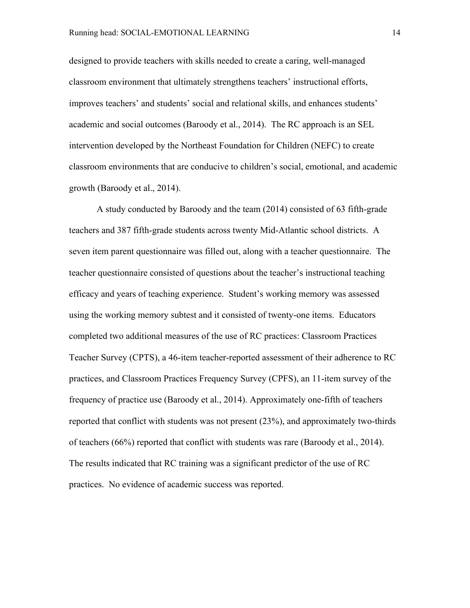designed to provide teachers with skills needed to create a caring, well-managed classroom environment that ultimately strengthens teachers' instructional efforts, improves teachers' and students' social and relational skills, and enhances students' academic and social outcomes (Baroody et al., 2014). The RC approach is an SEL intervention developed by the Northeast Foundation for Children (NEFC) to create classroom environments that are conducive to children's social, emotional, and academic growth (Baroody et al., 2014).

A study conducted by Baroody and the team (2014) consisted of 63 fifth-grade teachers and 387 fifth-grade students across twenty Mid-Atlantic school districts. A seven item parent questionnaire was filled out, along with a teacher questionnaire. The teacher questionnaire consisted of questions about the teacher's instructional teaching efficacy and years of teaching experience. Student's working memory was assessed using the working memory subtest and it consisted of twenty-one items. Educators completed two additional measures of the use of RC practices: Classroom Practices Teacher Survey (CPTS), a 46-item teacher-reported assessment of their adherence to RC practices, and Classroom Practices Frequency Survey (CPFS), an 11-item survey of the frequency of practice use (Baroody et al., 2014). Approximately one-fifth of teachers reported that conflict with students was not present (23%), and approximately two-thirds of teachers (66%) reported that conflict with students was rare (Baroody et al., 2014). The results indicated that RC training was a significant predictor of the use of RC practices. No evidence of academic success was reported.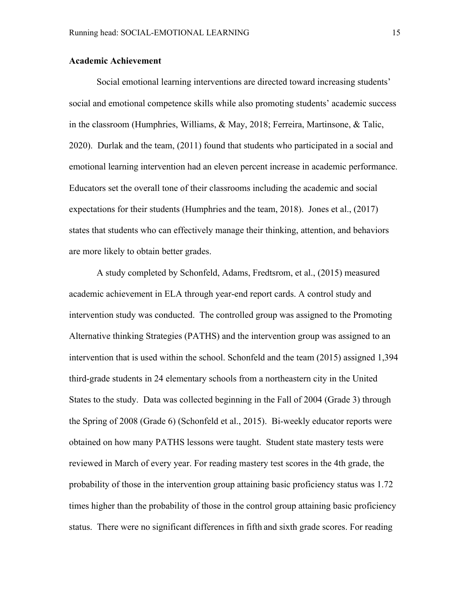# **Academic Achievement**

Social emotional learning interventions are directed toward increasing students' social and emotional competence skills while also promoting students' academic success in the classroom (Humphries, Williams, & May, 2018; Ferreira, Martinsone, & Talic, 2020). Durlak and the team, (2011) found that students who participated in a social and emotional learning intervention had an eleven percent increase in academic performance. Educators set the overall tone of their classrooms including the academic and social expectations for their students (Humphries and the team, 2018). Jones et al., (2017) states that students who can effectively manage their thinking, attention, and behaviors are more likely to obtain better grades.

A study completed by Schonfeld, Adams, Fredtsrom, et al., (2015) measured academic achievement in ELA through year-end report cards. A control study and intervention study was conducted. The controlled group was assigned to the Promoting Alternative thinking Strategies (PATHS) and the intervention group was assigned to an intervention that is used within the school. Schonfeld and the team (2015) assigned 1,394 third-grade students in 24 elementary schools from a northeastern city in the United States to the study. Data was collected beginning in the Fall of 2004 (Grade 3) through the Spring of 2008 (Grade 6) (Schonfeld et al., 2015). Bi-weekly educator reports were obtained on how many PATHS lessons were taught. Student state mastery tests were reviewed in March of every year. For reading mastery test scores in the 4th grade, the probability of those in the intervention group attaining basic proficiency status was 1.72 times higher than the probability of those in the control group attaining basic proficiency status. There were no significant differences in fifth and sixth grade scores. For reading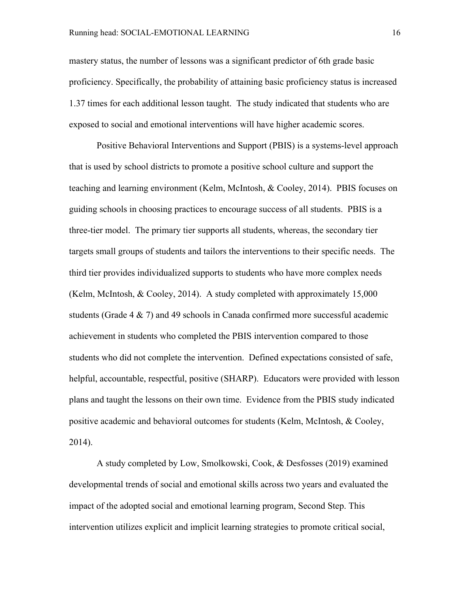mastery status, the number of lessons was a significant predictor of 6th grade basic proficiency. Specifically, the probability of attaining basic proficiency status is increased 1.37 times for each additional lesson taught. The study indicated that students who are exposed to social and emotional interventions will have higher academic scores.

Positive Behavioral Interventions and Support (PBIS) is a systems-level approach that is used by school districts to promote a positive school culture and support the teaching and learning environment (Kelm, McIntosh, & Cooley, 2014). PBIS focuses on guiding schools in choosing practices to encourage success of all students. PBIS is a three-tier model. The primary tier supports all students, whereas, the secondary tier targets small groups of students and tailors the interventions to their specific needs. The third tier provides individualized supports to students who have more complex needs (Kelm, McIntosh, & Cooley, 2014). A study completed with approximately 15,000 students (Grade 4 & 7) and 49 schools in Canada confirmed more successful academic achievement in students who completed the PBIS intervention compared to those students who did not complete the intervention. Defined expectations consisted of safe, helpful, accountable, respectful, positive (SHARP). Educators were provided with lesson plans and taught the lessons on their own time. Evidence from the PBIS study indicated positive academic and behavioral outcomes for students (Kelm, McIntosh, & Cooley, 2014).

A study completed by Low, Smolkowski, Cook, & Desfosses (2019) examined developmental trends of social and emotional skills across two years and evaluated the impact of the adopted social and emotional learning program, Second Step. This intervention utilizes explicit and implicit learning strategies to promote critical social,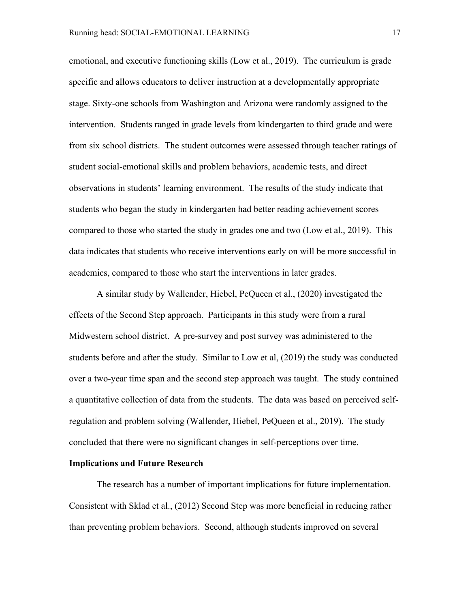emotional, and executive functioning skills (Low et al., 2019). The curriculum is grade specific and allows educators to deliver instruction at a developmentally appropriate stage. Sixty-one schools from Washington and Arizona were randomly assigned to the intervention. Students ranged in grade levels from kindergarten to third grade and were from six school districts. The student outcomes were assessed through teacher ratings of student social-emotional skills and problem behaviors, academic tests, and direct observations in students' learning environment. The results of the study indicate that students who began the study in kindergarten had better reading achievement scores compared to those who started the study in grades one and two (Low et al., 2019). This data indicates that students who receive interventions early on will be more successful in academics, compared to those who start the interventions in later grades.

A similar study by Wallender, Hiebel, PeQueen et al., (2020) investigated the effects of the Second Step approach. Participants in this study were from a rural Midwestern school district. A pre-survey and post survey was administered to the students before and after the study. Similar to Low et al, (2019) the study was conducted over a two-year time span and the second step approach was taught. The study contained a quantitative collection of data from the students. The data was based on perceived selfregulation and problem solving (Wallender, Hiebel, PeQueen et al., 2019). The study concluded that there were no significant changes in self-perceptions over time.

## **Implications and Future Research**

The research has a number of important implications for future implementation. Consistent with Sklad et al., (2012) Second Step was more beneficial in reducing rather than preventing problem behaviors. Second, although students improved on several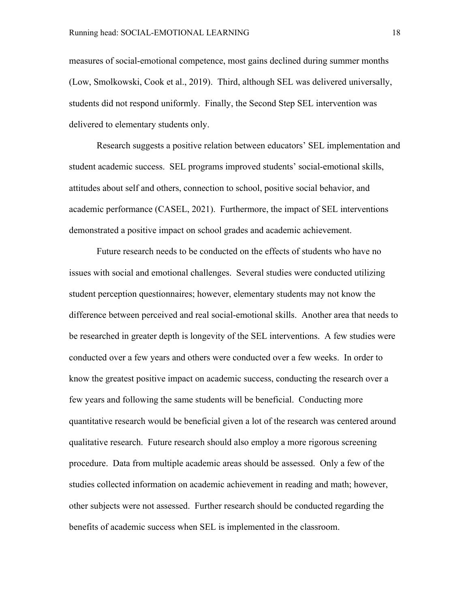measures of social-emotional competence, most gains declined during summer months (Low, Smolkowski, Cook et al., 2019). Third, although SEL was delivered universally, students did not respond uniformly. Finally, the Second Step SEL intervention was delivered to elementary students only.

Research suggests a positive relation between educators' SEL implementation and student academic success. SEL programs improved students' social-emotional skills, attitudes about self and others, connection to school, positive social behavior, and academic performance (CASEL, 2021). Furthermore, the impact of SEL interventions demonstrated a positive impact on school grades and academic achievement.

Future research needs to be conducted on the effects of students who have no issues with social and emotional challenges. Several studies were conducted utilizing student perception questionnaires; however, elementary students may not know the difference between perceived and real social-emotional skills. Another area that needs to be researched in greater depth is longevity of the SEL interventions. A few studies were conducted over a few years and others were conducted over a few weeks. In order to know the greatest positive impact on academic success, conducting the research over a few years and following the same students will be beneficial. Conducting more quantitative research would be beneficial given a lot of the research was centered around qualitative research. Future research should also employ a more rigorous screening procedure. Data from multiple academic areas should be assessed. Only a few of the studies collected information on academic achievement in reading and math; however, other subjects were not assessed. Further research should be conducted regarding the benefits of academic success when SEL is implemented in the classroom.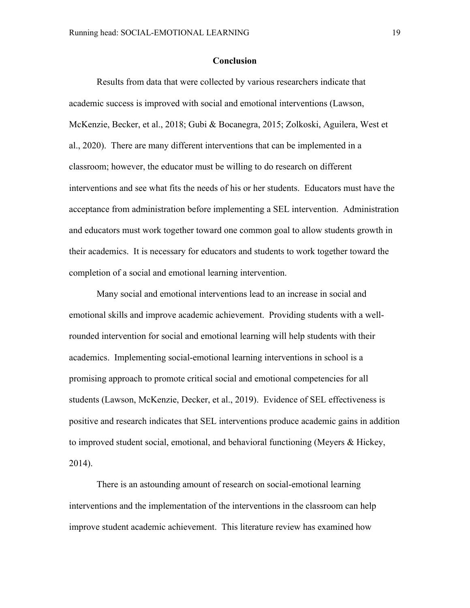#### **Conclusion**

Results from data that were collected by various researchers indicate that academic success is improved with social and emotional interventions (Lawson, McKenzie, Becker, et al., 2018; Gubi & Bocanegra, 2015; Zolkoski, Aguilera, West et al., 2020). There are many different interventions that can be implemented in a classroom; however, the educator must be willing to do research on different interventions and see what fits the needs of his or her students. Educators must have the acceptance from administration before implementing a SEL intervention. Administration and educators must work together toward one common goal to allow students growth in their academics. It is necessary for educators and students to work together toward the completion of a social and emotional learning intervention.

Many social and emotional interventions lead to an increase in social and emotional skills and improve academic achievement. Providing students with a wellrounded intervention for social and emotional learning will help students with their academics. Implementing social-emotional learning interventions in school is a promising approach to promote critical social and emotional competencies for all students (Lawson, McKenzie, Decker, et al., 2019). Evidence of SEL effectiveness is positive and research indicates that SEL interventions produce academic gains in addition to improved student social, emotional, and behavioral functioning (Meyers & Hickey, 2014).

There is an astounding amount of research on social-emotional learning interventions and the implementation of the interventions in the classroom can help improve student academic achievement. This literature review has examined how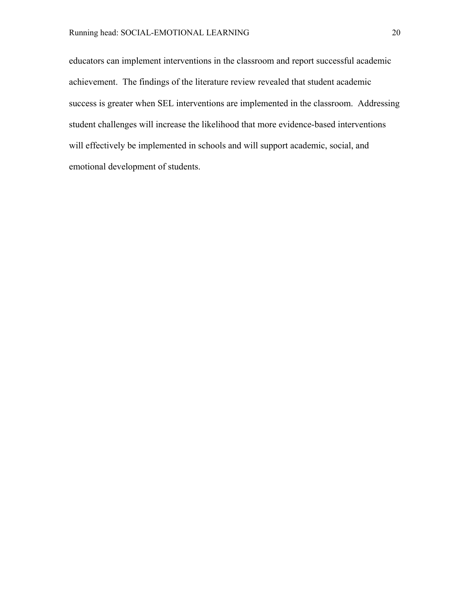educators can implement interventions in the classroom and report successful academic achievement. The findings of the literature review revealed that student academic success is greater when SEL interventions are implemented in the classroom. Addressing student challenges will increase the likelihood that more evidence-based interventions will effectively be implemented in schools and will support academic, social, and emotional development of students.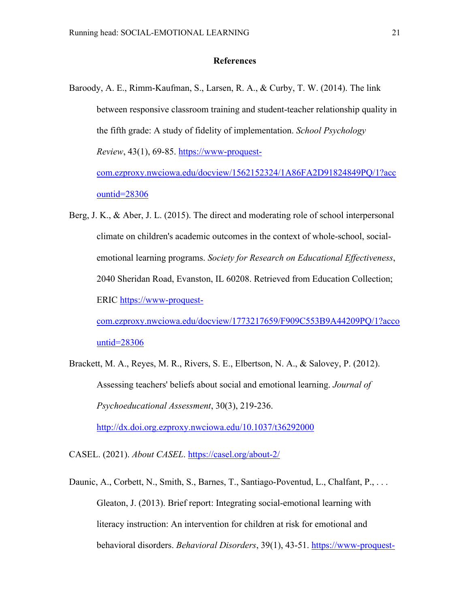# **References**

- Baroody, A. E., Rimm-Kaufman, S., Larsen, R. A., & Curby, T. W. (2014). The link between responsive classroom training and student-teacher relationship quality in the fifth grade: A study of fidelity of implementation. *School Psychology Review*, 43(1), 69-85. https://www-proquestcom.ezproxy.nwciowa.edu/docview/1562152324/1A86FA2D91824849PQ/1?acc ountid=28306
- Berg, J. K., & Aber, J. L. (2015). The direct and moderating role of school interpersonal climate on children's academic outcomes in the context of whole-school, socialemotional learning programs. *Society for Research on Educational Effectiveness*, 2040 Sheridan Road, Evanston, IL 60208. Retrieved from Education Collection; ERIC https://www-proquest-

com.ezproxy.nwciowa.edu/docview/1773217659/F909C553B9A44209PQ/1?acco untid=28306

Brackett, M. A., Reyes, M. R., Rivers, S. E., Elbertson, N. A., & Salovey, P. (2012). Assessing teachers' beliefs about social and emotional learning. *Journal of Psychoeducational Assessment*, 30(3), 219-236. http://dx.doi.org.ezproxy.nwciowa.edu/10.1037/t36292000

CASEL. (2021). *About CASEL*. https://casel.org/about-2/

Daunic, A., Corbett, N., Smith, S., Barnes, T., Santiago-Poventud, L., Chalfant, P., ... Gleaton, J. (2013). Brief report: Integrating social-emotional learning with literacy instruction: An intervention for children at risk for emotional and behavioral disorders. *Behavioral Disorders*, 39(1), 43-51. https://www-proquest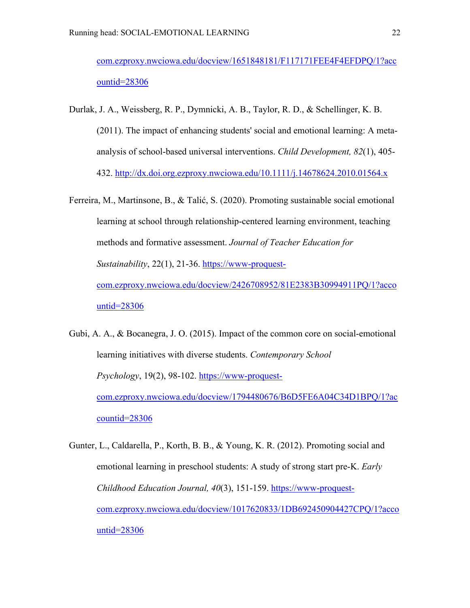com.ezproxy.nwciowa.edu/docview/1651848181/F117171FEE4F4EFDPQ/1?acc ountid=28306

- Durlak, J. A., Weissberg, R. P., Dymnicki, A. B., Taylor, R. D., & Schellinger, K. B. (2011). The impact of enhancing students' social and emotional learning: A metaanalysis of school-based universal interventions. *Child Development, 82*(1), 405- 432. http://dx.doi.org.ezproxy.nwciowa.edu/10.1111/j.14678624.2010.01564.x
- Ferreira, M., Martinsone, B., & Talić, S. (2020). Promoting sustainable social emotional learning at school through relationship-centered learning environment, teaching methods and formative assessment. *Journal of Teacher Education for Sustainability*, 22(1), 21-36. https://www-proquestcom.ezproxy.nwciowa.edu/docview/2426708952/81E2383B30994911PQ/1?acco untid=28306
- Gubi, A. A., & Bocanegra, J. O. (2015). Impact of the common core on social-emotional learning initiatives with diverse students. *Contemporary School Psychology*, 19(2), 98-102. https://www-proquestcom.ezproxy.nwciowa.edu/docview/1794480676/B6D5FE6A04C34D1BPQ/1?ac countid=28306
- Gunter, L., Caldarella, P., Korth, B. B., & Young, K. R. (2012). Promoting social and emotional learning in preschool students: A study of strong start pre-K. *Early Childhood Education Journal, 40*(3), 151-159. https://www-proquestcom.ezproxy.nwciowa.edu/docview/1017620833/1DB692450904427CPQ/1?acco untid=28306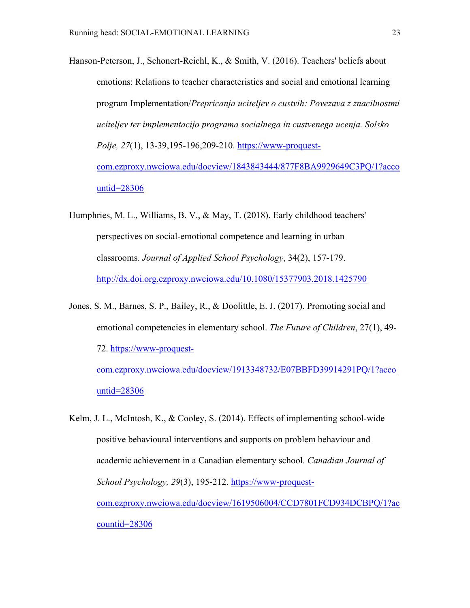Hanson-Peterson, J., Schonert-Reichl, K., & Smith, V. (2016). Teachers' beliefs about emotions: Relations to teacher characteristics and social and emotional learning program Implementation/*Prepricanja uciteljev o custvih: Povezava z znacilnostmi uciteljev ter implementacijo programa socialnega in custvenega ucenja. Solsko Polje, 27*(1), 13-39,195-196,209-210. https://www-proquestcom.ezproxy.nwciowa.edu/docview/1843843444/877F8BA9929649C3PQ/1?acco untid=28306

Humphries, M. L., Williams, B. V., & May, T. (2018). Early childhood teachers' perspectives on social-emotional competence and learning in urban classrooms. *Journal of Applied School Psychology*, 34(2), 157-179. http://dx.doi.org.ezproxy.nwciowa.edu/10.1080/15377903.2018.1425790

- Jones, S. M., Barnes, S. P., Bailey, R., & Doolittle, E. J. (2017). Promoting social and emotional competencies in elementary school. *The Future of Children*, 27(1), 49- 72. https://www-proquestcom.ezproxy.nwciowa.edu/docview/1913348732/E07BBFD39914291PQ/1?acco untid=28306
- Kelm, J. L., McIntosh, K., & Cooley, S. (2014). Effects of implementing school-wide positive behavioural interventions and supports on problem behaviour and academic achievement in a Canadian elementary school. *Canadian Journal of School Psychology, 29*(3), 195-212. https://www-proquestcom.ezproxy.nwciowa.edu/docview/1619506004/CCD7801FCD934DCBPQ/1?ac countid=28306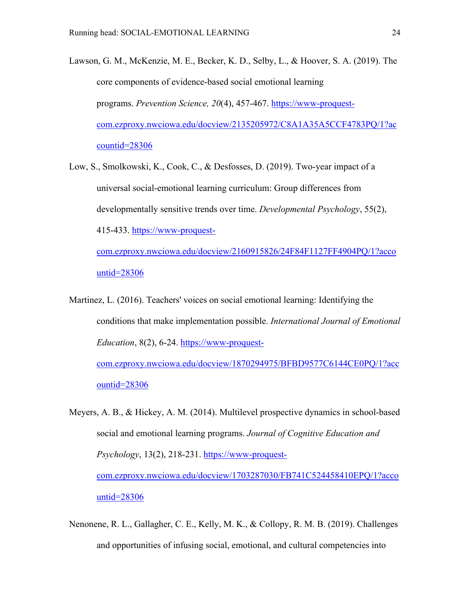Lawson, G. M., McKenzie, M. E., Becker, K. D., Selby, L., & Hoover, S. A. (2019). The core components of evidence-based social emotional learning programs. *Prevention Science, 20*(4), 457-467. https://www-proquestcom.ezproxy.nwciowa.edu/docview/2135205972/C8A1A35A5CCF4783PQ/1?ac countid=28306

Low, S., Smolkowski, K., Cook, C., & Desfosses, D. (2019). Two-year impact of a universal social-emotional learning curriculum: Group differences from developmentally sensitive trends over time. *Developmental Psychology*, 55(2), 415-433. https://www-proquestcom.ezproxy.nwciowa.edu/docview/2160915826/24F84F1127FF4904PQ/1?acco

untid=28306

Martinez, L. (2016). Teachers' voices on social emotional learning: Identifying the conditions that make implementation possible. *International Journal of Emotional Education*, 8(2), 6-24. https://www-proquestcom.ezproxy.nwciowa.edu/docview/1870294975/BFBD9577C6144CE0PQ/1?acc

ountid=28306

Meyers, A. B., & Hickey, A. M. (2014). Multilevel prospective dynamics in school-based social and emotional learning programs. *Journal of Cognitive Education and Psychology*, 13(2), 218-231. https://www-proquestcom.ezproxy.nwciowa.edu/docview/1703287030/FB741C524458410EPQ/1?acco untid=28306

Nenonene, R. L., Gallagher, C. E., Kelly, M. K., & Collopy, R. M. B. (2019). Challenges and opportunities of infusing social, emotional, and cultural competencies into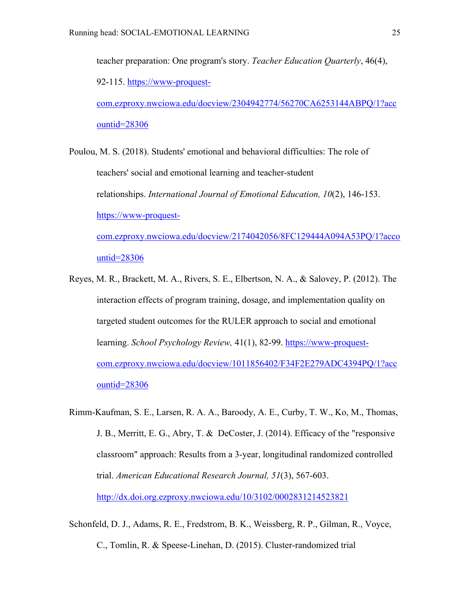teacher preparation: One program's story. *Teacher Education Quarterly*, 46(4), 92-115. https://www-proquestcom.ezproxy.nwciowa.edu/docview/2304942774/56270CA6253144ABPQ/1?acc

ountid=28306

Poulou, M. S. (2018). Students' emotional and behavioral difficulties: The role of teachers' social and emotional learning and teacher-student relationships. *International Journal of Emotional Education, 10*(2), 146-153. https://www-proquestcom.ezproxy.nwciowa.edu/docview/2174042056/8FC129444A094A53PQ/1?acco untid=28306

- Reyes, M. R., Brackett, M. A., Rivers, S. E., Elbertson, N. A., & Salovey, P. (2012). The interaction effects of program training, dosage, and implementation quality on targeted student outcomes for the RULER approach to social and emotional learning. *School Psychology Review,* 41(1), 82-99. https://www-proquestcom.ezproxy.nwciowa.edu/docview/1011856402/F34F2E279ADC4394PQ/1?acc ountid=28306
- Rimm-Kaufman, S. E., Larsen, R. A. A., Baroody, A. E., Curby, T. W., Ko, M., Thomas, J. B., Merritt, E. G., Abry, T. & DeCoster, J. (2014). Efficacy of the "responsive classroom" approach: Results from a 3-year, longitudinal randomized controlled trial. *American Educational Research Journal, 51*(3), 567-603. http://dx.doi.org.ezproxy.nwciowa.edu/10/3102/0002831214523821
- Schonfeld, D. J., Adams, R. E., Fredstrom, B. K., Weissberg, R. P., Gilman, R., Voyce, C., Tomlin, R. & Speese-Linehan, D. (2015). Cluster-randomized trial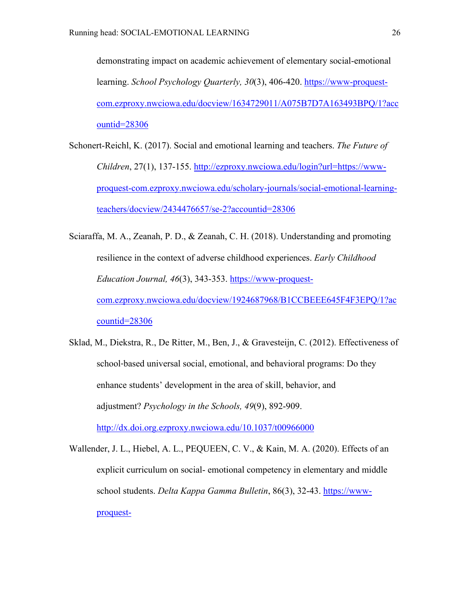demonstrating impact on academic achievement of elementary social-emotional learning. *School Psychology Quarterly, 30*(3), 406-420. https://www-proquestcom.ezproxy.nwciowa.edu/docview/1634729011/A075B7D7A163493BPQ/1?acc ountid=28306

- Schonert-Reichl, K. (2017). Social and emotional learning and teachers. *The Future of Children*, 27(1), 137-155. http://ezproxy.nwciowa.edu/login?url=https://wwwproquest-com.ezproxy.nwciowa.edu/scholary-journals/social-emotional-learningteachers/docview/2434476657/se-2?accountid=28306
- Sciaraffa, M. A., Zeanah, P. D., & Zeanah, C. H. (2018). Understanding and promoting resilience in the context of adverse childhood experiences. *Early Childhood Education Journal, 46*(3), 343-353. https://www-proquestcom.ezproxy.nwciowa.edu/docview/1924687968/B1CCBEEE645F4F3EPQ/1?ac countid=28306
- Sklad, M., Diekstra, R., De Ritter, M., Ben, J., & Gravesteijn, C. (2012). Effectiveness of school-based universal social, emotional, and behavioral programs: Do they enhance students' development in the area of skill, behavior, and adjustment? *Psychology in the Schools, 49*(9), 892-909. http://dx.doi.org.ezproxy.nwciowa.edu/10.1037/t00966000
- Wallender, J. L., Hiebel, A. L., PEQUEEN, C. V., & Kain, M. A. (2020). Effects of an explicit curriculum on social- emotional competency in elementary and middle school students. *Delta Kappa Gamma Bulletin*, 86(3), 32-43. https://wwwproquest-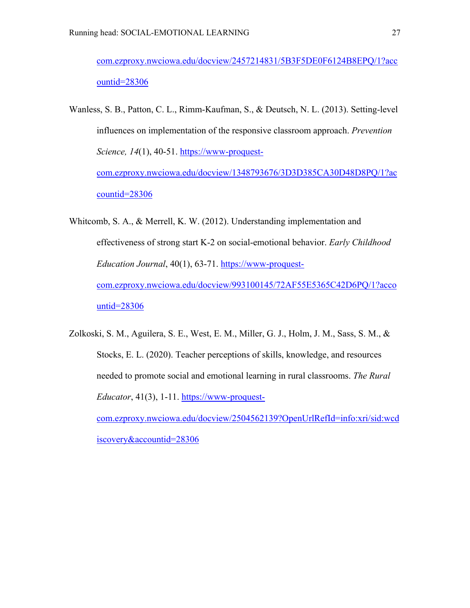com.ezproxy.nwciowa.edu/docview/2457214831/5B3F5DE0F6124B8EPQ/1?acc ountid=28306

- Wanless, S. B., Patton, C. L., Rimm-Kaufman, S., & Deutsch, N. L. (2013). Setting-level influences on implementation of the responsive classroom approach. *Prevention Science, 14*(1), 40-51. https://www-proquestcom.ezproxy.nwciowa.edu/docview/1348793676/3D3D385CA30D48D8PQ/1?ac countid=28306
- Whitcomb, S. A., & Merrell, K. W. (2012). Understanding implementation and effectiveness of strong start K-2 on social-emotional behavior. *Early Childhood Education Journal*, 40(1), 63-71. https://www-proquestcom.ezproxy.nwciowa.edu/docview/993100145/72AF55E5365C42D6PQ/1?acco untid=28306
- Zolkoski, S. M., Aguilera, S. E., West, E. M., Miller, G. J., Holm, J. M., Sass, S. M., & Stocks, E. L. (2020). Teacher perceptions of skills, knowledge, and resources needed to promote social and emotional learning in rural classrooms. *The Rural Educator*, 41(3), 1-11. https://www-proquestcom.ezproxy.nwciowa.edu/docview/2504562139?OpenUrlRefId=info:xri/sid:wcd iscovery&accountid=28306